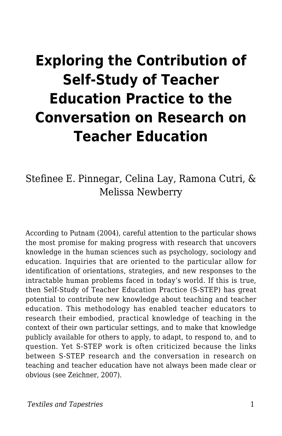# **Exploring the Contribution of Self-Study of Teacher Education Practice to the Conversation on Research on Teacher Education**

Stefinee E. Pinnegar, Celina Lay, Ramona Cutri, & Melissa Newberry

According to Putnam (2004), careful attention to the particular shows the most promise for making progress with research that uncovers knowledge in the human sciences such as psychology, sociology and education. Inquiries that are oriented to the particular allow for identification of orientations, strategies, and new responses to the intractable human problems faced in today's world. If this is true, then Self-Study of Teacher Education Practice (S-STEP) has great potential to contribute new knowledge about teaching and teacher education. This methodology has enabled teacher educators to research their embodied, practical knowledge of teaching in the context of their own particular settings, and to make that knowledge publicly available for others to apply, to adapt, to respond to, and to question. Yet S-STEP work is often criticized because the links between S-STEP research and the conversation in research on teaching and teacher education have not always been made clear or obvious (see Zeichner, 2007).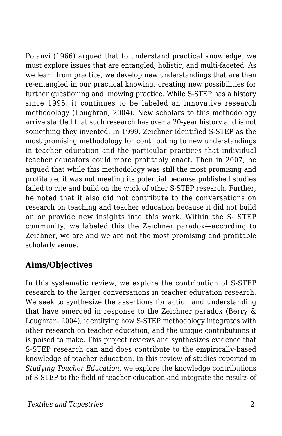Polanyi (1966) argued that to understand practical knowledge, we must explore issues that are entangled, holistic, and multi-faceted. As we learn from practice, we develop new understandings that are then re-entangled in our practical knowing, creating new possibilities for further questioning and knowing practice. While S-STEP has a history since 1995, it continues to be labeled an innovative research methodology (Loughran, 2004). New scholars to this methodology arrive startled that such research has over a 20-year history and is not something they invented. In 1999, Zeichner identified S-STEP as the most promising methodology for contributing to new understandings in teacher education and the particular practices that individual teacher educators could more profitably enact. Then in 2007, he argued that while this methodology was still the most promising and profitable, it was not meeting its potential because published studies failed to cite and build on the work of other S-STEP research. Further, he noted that it also did not contribute to the conversations on research on teaching and teacher education because it did not build on or provide new insights into this work. Within the S- STEP community, we labeled this the Zeichner paradox—according to Zeichner, we are and we are not the most promising and profitable scholarly venue.

## **Aims/Objectives**

In this systematic review, we explore the contribution of S-STEP research to the larger conversations in teacher education research. We seek to synthesize the assertions for action and understanding that have emerged in response to the Zeichner paradox (Berry & Loughran, 2004), identifying how S-STEP methodology integrates with other research on teacher education, and the unique contributions it is poised to make. This project reviews and synthesizes evidence that S-STEP research can and does contribute to the empirically-based knowledge of teacher education. In this review of studies reported in *Studying Teacher Education,* we explore the knowledge contributions of S-STEP to the field of teacher education and integrate the results of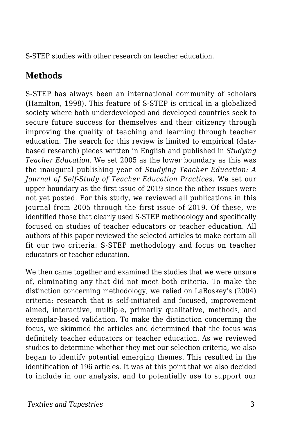S-STEP studies with other research on teacher education.

# **Methods**

S-STEP has always been an international community of scholars (Hamilton, 1998). This feature of S-STEP is critical in a globalized society where both underdeveloped and developed countries seek to secure future success for themselves and their citizenry through improving the quality of teaching and learning through teacher education. The search for this review is limited to empirical (databased research) pieces written in English and published in *Studying Teacher Education*. We set 2005 as the lower boundary as this was the inaugural publishing year of *Studying Teacher Education: A Journal of Self-Study of Teacher Education Practices.* We set our upper boundary as the first issue of 2019 since the other issues were not yet posted. For this study, we reviewed all publications in this journal from 2005 through the first issue of 2019. Of these, we identified those that clearly used S-STEP methodology and specifically focused on studies of teacher educators or teacher education. All authors of this paper reviewed the selected articles to make certain all fit our two criteria: S-STEP methodology and focus on teacher educators or teacher education.

We then came together and examined the studies that we were unsure of, eliminating any that did not meet both criteria. To make the distinction concerning methodology, we relied on LaBoskey's (2004) criteria: research that is self-initiated and focused, improvement aimed, interactive, multiple, primarily qualitative, methods, and exemplar-based validation. To make the distinction concerning the focus, we skimmed the articles and determined that the focus was definitely teacher educators or teacher education. As we reviewed studies to determine whether they met our selection criteria, we also began to identify potential emerging themes. This resulted in the identification of 196 articles. It was at this point that we also decided to include in our analysis, and to potentially use to support our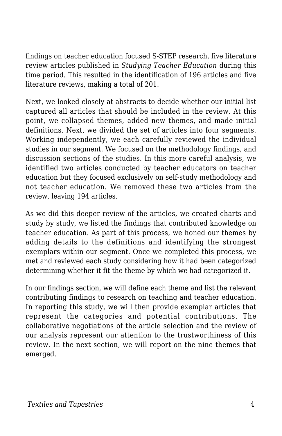findings on teacher education focused S-STEP research, five literature review articles published in *Studying Teacher Education* during this time period*.* This resulted in the identification of 196 articles and five literature reviews, making a total of 201.

Next, we looked closely at abstracts to decide whether our initial list captured all articles that should be included in the review. At this point, we collapsed themes, added new themes, and made initial definitions. Next, we divided the set of articles into four segments. Working independently, we each carefully reviewed the individual studies in our segment. We focused on the methodology findings, and discussion sections of the studies. In this more careful analysis, we identified two articles conducted by teacher educators on teacher education but they focused exclusively on self-study methodology and not teacher education. We removed these two articles from the review, leaving 194 articles.

As we did this deeper review of the articles, we created charts and study by study, we listed the findings that contributed knowledge on teacher education. As part of this process, we honed our themes by adding details to the definitions and identifying the strongest exemplars within our segment. Once we completed this process, we met and reviewed each study considering how it had been categorized determining whether it fit the theme by which we had categorized it.

In our findings section, we will define each theme and list the relevant contributing findings to research on teaching and teacher education. In reporting this study, we will then provide exemplar articles that represent the categories and potential contributions. The collaborative negotiations of the article selection and the review of our analysis represent our attention to the trustworthiness of this review. In the next section, we will report on the nine themes that emerged.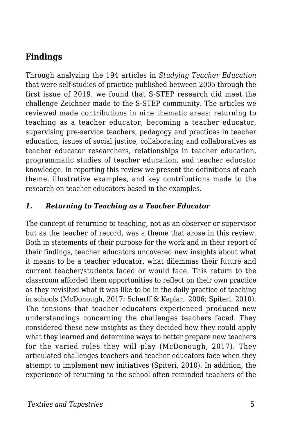# **Findings**

Through analyzing the 194 articles in *Studying Teacher Education* that were self-studies of practice published between 2005 through the first issue of 2019, we found that S-STEP research did meet the challenge Zeichner made to the S-STEP community. The articles we reviewed made contributions in nine thematic areas: returning to teaching as a teacher educator, becoming a teacher educator, supervising pre-service teachers, pedagogy and practices in teacher education, issues of social justice, collaborating and collaboratives as teacher educator researchers, relationships in teacher education, programmatic studies of teacher education, and teacher educator knowledge. In reporting this review we present the definitions of each theme, illustrative examples, and key contributions made to the research on teacher educators based in the examples.

#### *1. Returning to Teaching as a Teacher Educator*

The concept of returning to teaching, not as an observer or supervisor but as the teacher of record, was a theme that arose in this review. Both in statements of their purpose for the work and in their report of their findings, teacher educators uncovered new insights about what it means to be a teacher educator, what dilemmas their future and current teacher/students faced or would face. This return to the classroom afforded them opportunities to reflect on their own practice as they revisited what it was like to be in the daily practice of teaching in schools (McDonough, 2017; Scherff & Kaplan, 2006; Spiteri, 2010). The tensions that teacher educators experienced produced new understandings concerning the challenges teachers faced. They considered these new insights as they decided how they could apply what they learned and determine ways to better prepare new teachers for the varied roles they will play (McDonough, 2017). They articulated challenges teachers and teacher educators face when they attempt to implement new initiatives (Spiteri, 2010). In addition, the experience of returning to the school often reminded teachers of the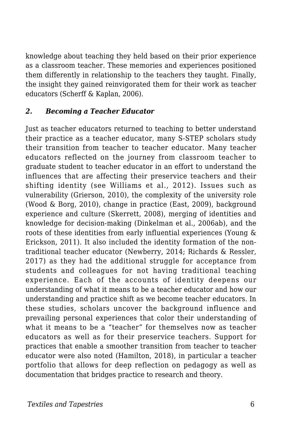knowledge about teaching they held based on their prior experience as a classroom teacher. These memories and experiences positioned them differently in relationship to the teachers they taught. Finally, the insight they gained reinvigorated them for their work as teacher educators (Scherff & Kaplan, 2006).

#### *2. Becoming a Teacher Educator*

Just as teacher educators returned to teaching to better understand their practice as a teacher educator, many S-STEP scholars study their transition from teacher to teacher educator. Many teacher educators reflected on the journey from classroom teacher to graduate student to teacher educator in an effort to understand the influences that are affecting their preservice teachers and their shifting identity (see Williams et al., 2012). Issues such as vulnerability (Grierson, 2010), the complexity of the university role (Wood & Borg, 2010), change in practice (East, 2009), background experience and culture (Skerrett, 2008), merging of identities and knowledge for decision-making (Dinkelman et al., 2006ab), and the roots of these identities from early influential experiences (Young & Erickson, 2011). It also included the identity formation of the nontraditional teacher educator (Newberry, 2014; Richards & Ressler, 2017) as they had the additional struggle for acceptance from students and colleagues for not having traditional teaching experience. Each of the accounts of identity deepens our understanding of what it means to be a teacher educator and how our understanding and practice shift as we become teacher educators. In these studies, scholars uncover the background influence and prevailing personal experiences that color their understanding of what it means to be a "teacher" for themselves now as teacher educators as well as for their preservice teachers. Support for practices that enable a smoother transition from teacher to teacher educator were also noted (Hamilton, 2018), in particular a teacher portfolio that allows for deep reflection on pedagogy as well as documentation that bridges practice to research and theory.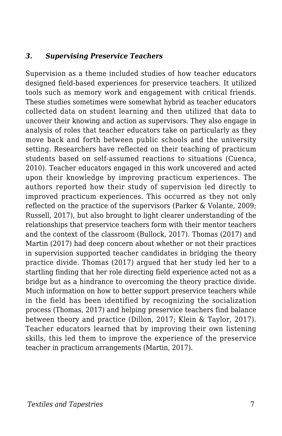#### *3. Supervising Preservice Teachers*

Supervision as a theme included studies of how teacher educators designed field-based experiences for preservice teachers. It utilized tools such as memory work and engagement with critical friends. These studies sometimes were somewhat hybrid as teacher educators collected data on student learning and then utilized that data to uncover their knowing and action as supervisors. They also engage in analysis of roles that teacher educators take on particularly as they move back and forth between public schools and the university setting. Researchers have reflected on their teaching of practicum students based on self-assumed reactions to situations (Cuenca, 2010). Teacher educators engaged in this work uncovered and acted upon their knowledge by improving practicum experiences. The authors reported how their study of supervision led directly to improved practicum experiences. This occurred as they not only reflected on the practice of the supervisors (Parker & Volante, 2009; Russell, 2017), but also brought to light clearer understanding of the relationships that preservice teachers form with their mentor teachers and the context of the classroom (Bullock, 2017). Thomas (2017) and Martin (2017) had deep concern about whether or not their practices in supervision supported teacher candidates in bridging the theory practice divide. Thomas (2017) argued that her study led her to a startling finding that her role directing field experience acted not as a bridge but as a hindrance to overcoming the theory practice divide. Much information on how to better support preservice teachers while in the field has been identified by recognizing the socialization process (Thomas, 2017) and helping preservice teachers find balance between theory and practice (Dillon, 2017; Klein & Taylor, 2017). Teacher educators learned that by improving their own listening skills, this led them to improve the experience of the preservice teacher in practicum arrangements (Martin, 2017).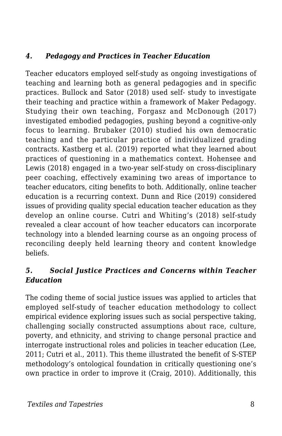#### *4. Pedagogy and Practices in Teacher Education*

Teacher educators employed self-study as ongoing investigations of teaching and learning both as general pedagogies and in specific practices. Bullock and Sator (2018) used self- study to investigate their teaching and practice within a framework of Maker Pedagogy. Studying their own teaching, Forgasz and McDonough (2017) investigated embodied pedagogies, pushing beyond a cognitive-only focus to learning. Brubaker (2010) studied his own democratic teaching and the particular practice of individualized grading contracts. Kastberg et al. (2019) reported what they learned about practices of questioning in a mathematics context. Hohensee and Lewis (2018) engaged in a two-year self-study on cross-disciplinary peer coaching, effectively examining two areas of importance to teacher educators, citing benefits to both. Additionally, online teacher education is a recurring context. Dunn and Rice (2019) considered issues of providing quality special education teacher education as they develop an online course. Cutri and Whiting's (2018) self-study revealed a clear account of how teacher educators can incorporate technology into a blended learning course as an ongoing process of reconciling deeply held learning theory and content knowledge beliefs.

#### *5. Social Justice Practices and Concerns within Teacher Education*

The coding theme of social justice issues was applied to articles that employed self-study of teacher education methodology to collect empirical evidence exploring issues such as social perspective taking, challenging socially constructed assumptions about race, culture, poverty, and ethnicity, and striving to change personal practice and interrogate instructional roles and policies in teacher education (Lee, 2011; Cutri et al., 2011). This theme illustrated the benefit of S-STEP methodology's ontological foundation in critically questioning one's own practice in order to improve it (Craig, 2010). Additionally, this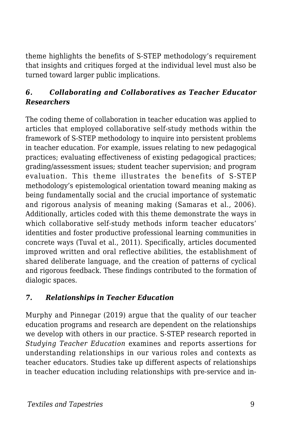theme highlights the benefits of S-STEP methodology's requirement that insights and critiques forged at the individual level must also be turned toward larger public implications.

#### *6. Collaborating and Collaboratives as Teacher Educator Researchers*

The coding theme of collaboration in teacher education was applied to articles that employed collaborative self-study methods within the framework of S-STEP methodology to inquire into persistent problems in teacher education. For example, issues relating to new pedagogical practices; evaluating effectiveness of existing pedagogical practices; grading/assessment issues; student teacher supervision; and program evaluation. This theme illustrates the benefits of S-STEP methodology's epistemological orientation toward meaning making as being fundamentally social and the crucial importance of systematic and rigorous analysis of meaning making (Samaras et al., 2006). Additionally, articles coded with this theme demonstrate the ways in which collaborative self-study methods inform teacher educators' identities and foster productive professional learning communities in concrete ways (Tuval et al., 2011). Specifically, articles documented improved written and oral reflective abilities, the establishment of shared deliberate language, and the creation of patterns of cyclical and rigorous feedback. These findings contributed to the formation of dialogic spaces.

#### *7. Relationships in Teacher Education*

Murphy and Pinnegar (2019) argue that the quality of our teacher education programs and research are dependent on the relationships we develop with others in our practice. S-STEP research reported in *Studying Teacher Education* examines and reports assertions for understanding relationships in our various roles and contexts as teacher educators. Studies take up different aspects of relationships in teacher education including relationships with pre-service and in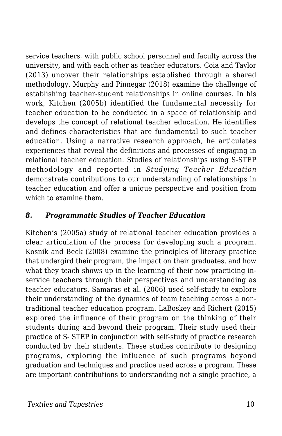service teachers, with public school personnel and faculty across the university, and with each other as teacher educators. Coia and Taylor (2013) uncover their relationships established through a shared methodology. Murphy and Pinnegar (2018) examine the challenge of establishing teacher-student relationships in online courses. In his work, Kitchen (2005b) identified the fundamental necessity for teacher education to be conducted in a space of relationship and develops the concept of relational teacher education. He identifies and defines characteristics that are fundamental to such teacher education. Using a narrative research approach, he articulates experiences that reveal the definitions and processes of engaging in relational teacher education. Studies of relationships using S-STEP methodology and reported in *Studying Teacher Education* demonstrate contributions to our understanding of relationships in teacher education and offer a unique perspective and position from which to examine them.

#### *8. Programmatic Studies of Teacher Education*

Kitchen's (2005a) study of relational teacher education provides a clear articulation of the process for developing such a program. Kosnik and Beck (2008) examine the principles of literacy practice that undergird their program, the impact on their graduates, and how what they teach shows up in the learning of their now practicing inservice teachers through their perspectives and understanding as teacher educators. Samaras et al. (2006) used self-study to explore their understanding of the dynamics of team teaching across a nontraditional teacher education program. LaBoskey and Richert (2015) explored the influence of their program on the thinking of their students during and beyond their program. Their study used their practice of S- STEP in conjunction with self-study of practice research conducted by their students. These studies contribute to designing programs, exploring the influence of such programs beyond graduation and techniques and practice used across a program. These are important contributions to understanding not a single practice, a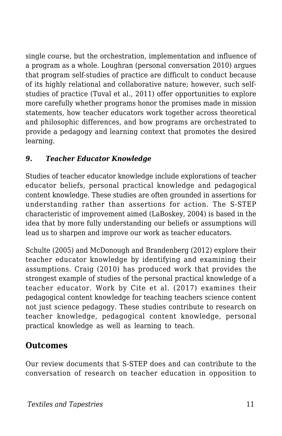single course, but the orchestration, implementation and influence of a program as a whole. Loughran (personal conversation 2010) argues that program self-studies of practice are difficult to conduct because of its highly relational and collaborative nature; however, such selfstudies of practice (Tuval et al., 2011) offer opportunities to explore more carefully whether programs honor the promises made in mission statements, how teacher educators work together across theoretical and philosophic differences, and how programs are orchestrated to provide a pedagogy and learning context that promotes the desired learning.

#### *9. Teacher Educator Knowledge*

Studies of teacher educator knowledge include explorations of teacher educator beliefs, personal practical knowledge and pedagogical content knowledge. These studies are often grounded in assertions for understanding rather than assertions for action. The S-STEP characteristic of improvement aimed (LaBoskey, 2004) is based in the idea that by more fully understanding our beliefs or assumptions will lead us to sharpen and improve our work as teacher educators.

Schulte (2005) and McDonough and Brandenberg (2012) explore their teacher educator knowledge by identifying and examining their assumptions. Craig (2010) has produced work that provides the strongest example of studies of the personal practical knowledge of a teacher educator. Work by Cite et al. (2017) examines their pedagogical content knowledge for teaching teachers science content not just science pedagogy. These studies contribute to research on teacher knowledge, pedagogical content knowledge, personal practical knowledge as well as learning to teach.

## **Outcomes**

Our review documents that S-STEP does and can contribute to the conversation of research on teacher education in opposition to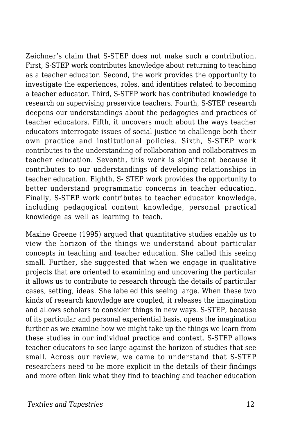Zeichner's claim that S-STEP does not make such a contribution. First, S-STEP work contributes knowledge about returning to teaching as a teacher educator. Second, the work provides the opportunity to investigate the experiences, roles, and identities related to becoming a teacher educator. Third, S-STEP work has contributed knowledge to research on supervising preservice teachers. Fourth, S-STEP research deepens our understandings about the pedagogies and practices of teacher educators. Fifth, it uncovers much about the ways teacher educators interrogate issues of social justice to challenge both their own practice and institutional policies. Sixth, S-STEP work contributes to the understanding of collaboration and collaboratives in teacher education. Seventh, this work is significant because it contributes to our understandings of developing relationships in teacher education. Eighth, S- STEP work provides the opportunity to better understand programmatic concerns in teacher education. Finally, S-STEP work contributes to teacher educator knowledge, including pedagogical content knowledge, personal practical knowledge as well as learning to teach.

Maxine Greene (1995) argued that quantitative studies enable us to view the horizon of the things we understand about particular concepts in teaching and teacher education. She called this seeing small. Further, she suggested that when we engage in qualitative projects that are oriented to examining and uncovering the particular it allows us to contribute to research through the details of particular cases, setting, ideas. She labeled this seeing large. When these two kinds of research knowledge are coupled, it releases the imagination and allows scholars to consider things in new ways. S-STEP, because of its particular and personal experiential basis, opens the imagination further as we examine how we might take up the things we learn from these studies in our individual practice and context. S-STEP allows teacher educators to see large against the horizon of studies that see small. Across our review, we came to understand that S-STEP researchers need to be more explicit in the details of their findings and more often link what they find to teaching and teacher education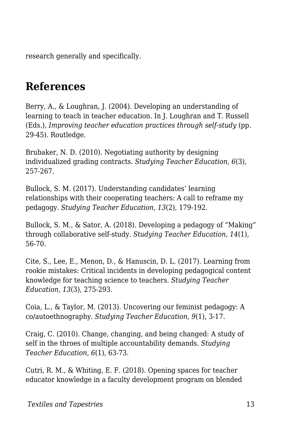research generally and specifically.

# **References**

Berry, A., & Loughran, J. (2004). Developing an understanding of learning to teach in teacher education. In J. Loughran and T. Russell (Eds.), *Improving teacher education practices through self-study* (pp. 29-45). Routledge.

Brubaker, N. D. (2010). Negotiating authority by designing individualized grading contracts. *Studying Teacher Education*, *6*(3), 257-267.

Bullock, S. M. (2017). Understanding candidates' learning relationships with their cooperating teachers: A call to reframe my pedagogy. *Studying Teacher Education*, *13*(2), 179-192.

Bullock, S. M., & Sator, A. (2018). Developing a pedagogy of "Making" through collaborative self-study. *Studying Teacher Education*, *14*(1), 56-70.

Cite, S., Lee, E., Menon, D., & Hanuscin, D. L. (2017). Learning from rookie mistakes: Critical incidents in developing pedagogical content knowledge for teaching science to teachers. *Studying Teacher Education*, *13*(3), 275-293.

Coia, L., & Taylor, M. (2013). Uncovering our feminist pedagogy: A co/autoethnography. *Studying Teacher Education*, *9*(1), 3-17.

Craig, C. (2010). Change, changing, and being changed: A study of self in the throes of multiple accountability demands. *Studying Teacher Education*, *6*(1), 63-73.

Cutri, R. M., & Whiting, E. F. (2018). Opening spaces for teacher educator knowledge in a faculty development program on blended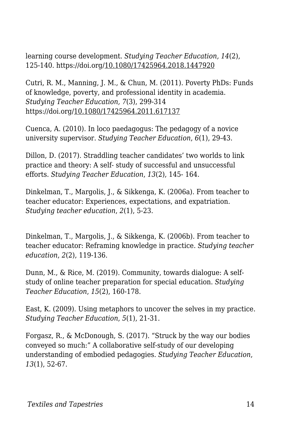learning course development. *Studying Teacher Education, 14*(2), 125-140. https://doi.org/10.1080/17425964.2018.1447920

Cutri, R. M., Manning, J. M., & Chun, M. (2011). Poverty PhDs: Funds of knowledge, poverty, and professional identity in academia. *Studying Teacher Education, 7*(3), 299-314 https://doi.org/10.1080/17425964.2011.617137

Cuenca, A. (2010). In loco paedagogus: The pedagogy of a novice university supervisor. *Studying Teacher Education*, *6*(1), 29-43.

Dillon, D. (2017). Straddling teacher candidates' two worlds to link practice and theory: A self- study of successful and unsuccessful efforts. *Studying Teacher Education*, *13*(2), 145- 164.

Dinkelman, T., Margolis, J., & Sikkenga, K. (2006a). From teacher to teacher educator: Experiences, expectations, and expatriation. *Studying teacher education*, *2*(1), 5-23.

Dinkelman, T., Margolis, J., & Sikkenga, K. (2006b). From teacher to teacher educator: Reframing knowledge in practice. *Studying teacher education*, *2*(2), 119-136.

Dunn, M., & Rice, M. (2019). Community, towards dialogue: A selfstudy of online teacher preparation for special education. *Studying Teacher Education*, *15*(2), 160-178.

East, K. (2009). Using metaphors to uncover the selves in my practice. *Studying Teacher Education*, *5*(1), 21-31.

Forgasz, R., & McDonough, S. (2017). "Struck by the way our bodies conveyed so much:" A collaborative self-study of our developing understanding of embodied pedagogies. *Studying Teacher Education*, *13*(1), 52-67.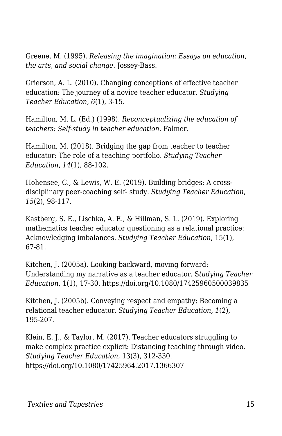Greene, M. (1995). *Releasing the imagination: Essays on education, the arts, and social change*. Jossey-Bass.

Grierson, A. L. (2010). Changing conceptions of effective teacher education: The journey of a novice teacher educator. *Studying Teacher Education*, *6*(1), 3-15.

Hamilton, M. L. (Ed.) (1998). *Reconceptualizing the education of teachers: Self-study in teacher education.* Falmer.

Hamilton, M. (2018). Bridging the gap from teacher to teacher educator: The role of a teaching portfolio. *Studying Teacher Education*, *14*(1), 88-102.

Hohensee, C., & Lewis, W. E. (2019). Building bridges: A crossdisciplinary peer-coaching self- study. *Studying Teacher Education*, *15*(2), 98-117.

Kastberg, S. E., Lischka, A. E., & Hillman, S. L. (2019). Exploring mathematics teacher educator questioning as a relational practice: Acknowledging imbalances. *Studying Teacher Education*, 15(1), 67-81.

Kitchen, J. (2005a). Looking backward, moving forward: Understanding my narrative as a teacher educator. S*tudying Teacher Education*, 1(1), 17-30. https://doi.org/10.1080/17425960500039835

Kitchen, J. (2005b). Conveying respect and empathy: Becoming a relational teacher educator. *Studying Teacher Education, 1*(2), 195-207.

Klein, E. J., & Taylor, M. (2017). Teacher educators struggling to make complex practice explicit: Distancing teaching through video. *Studying Teacher Education*, 13(3), 312-330. https://doi.org/10.1080/17425964.2017.1366307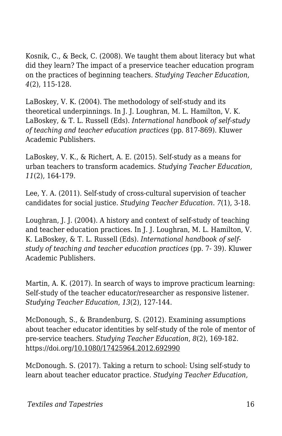Kosnik, C., & Beck, C. (2008). We taught them about literacy but what did they learn? The impact of a preservice teacher education program on the practices of beginning teachers. *Studying Teacher Education*, *4*(2), 115-128.

LaBoskey, V. K. (2004). The methodology of self-study and its theoretical underpinnings. In J. J. Loughran, M. L. Hamilton, V. K. LaBoskey, & T. L. Russell (Eds). *International handbook of self-study of teaching and teacher education practices* (pp. 817-869). Kluwer Academic Publishers.

LaBoskey, V. K., & Richert, A. E. (2015). Self-study as a means for urban teachers to transform academics. *Studying Teacher Education*, *11*(2), 164-179.

Lee, Y. A. (2011). Self-study of cross-cultural supervision of teacher candidates for social justice. *Studying Teacher Education*. *7*(1), 3-18.

Loughran, J. J. (2004). A history and context of self-study of teaching and teacher education practices. In J. J. Loughran, M. L. Hamilton, V. K. LaBoskey, & T. L. Russell (Eds). *International handbook of selfstudy of teaching and teacher education practices* (pp. 7- 39). Kluwer Academic Publishers.

Martin, A. K. (2017). In search of ways to improve practicum learning: Self-study of the teacher educator/researcher as responsive listener. *Studying Teacher Education*, *13*(2), 127-144.

McDonough, S., & Brandenburg, S. (2012). Examining assumptions about teacher educator identities by self-study of the role of mentor of pre-service teachers. *Studying Teacher Education*, *8*(2), 169-182. https://doi.org/10.1080/17425964.2012.692990

McDonough. S. (2017). Taking a return to school: Using self-study to learn about teacher educator practice. *Studying Teacher Education,*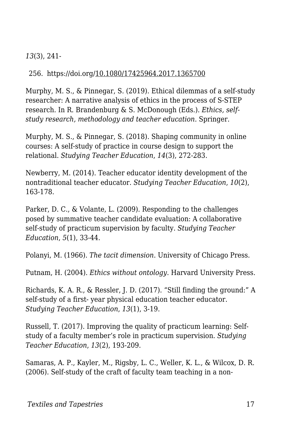#### *13*(3), 241-

#### 256. https://doi.org/10.1080/17425964.2017.1365700

Murphy, M. S., & Pinnegar, S. (2019). Ethical dilemmas of a self-study researcher: A narrative analysis of ethics in the process of S-STEP research. In R. Brandenburg & S. McDonough (Eds.). *Ethics, selfstudy research, methodology and teacher education*. Springer.

Murphy, M. S., & Pinnegar, S. (2018). Shaping community in online courses: A self-study of practice in course design to support the relational. *Studying Teacher Education*, *14*(3), 272-283.

Newberry, M. (2014). Teacher educator identity development of the nontraditional teacher educator. *Studying Teacher Education*, *10*(2), 163-178.

Parker, D. C., & Volante, L. (2009). Responding to the challenges posed by summative teacher candidate evaluation: A collaborative self-study of practicum supervision by faculty. *Studying Teacher Education*, *5*(1), 33-44.

Polanyi, M. (1966). *The tacit dimension*. University of Chicago Press.

Putnam, H. (2004). *Ethics without ontology*. Harvard University Press.

Richards, K. A. R., & Ressler, J. D. (2017). "Still finding the ground:" A self-study of a first- year physical education teacher educator. *Studying Teacher Education*, *13*(1), 3-19.

Russell, T. (2017). Improving the quality of practicum learning: Selfstudy of a faculty member's role in practicum supervision. *Studying Teacher Education*, *13*(2), 193-209.

Samaras, A. P., Kayler, M., Rigsby, L. C., Weller, K. L., & Wilcox, D. R. (2006). Self-study of the craft of faculty team teaching in a non-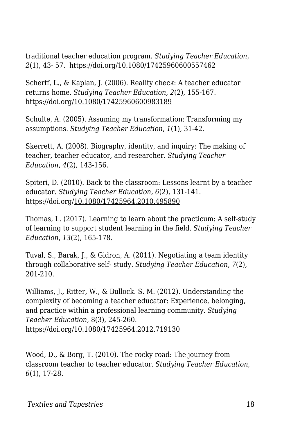traditional teacher education program. *Studying Teacher Education, 2*(1), 43- 57. https://doi.org/10.1080/17425960600557462

Scherff, L., & Kaplan, J. (2006). Reality check: A teacher educator returns home. *Studying Teacher Education, 2*(2), 155-167. https://doi.org/10.1080/17425960600983189

Schulte, A. (2005). Assuming my transformation: Transforming my assumptions. *Studying Teacher Education*, *1*(1), 31-42.

Skerrett, A. (2008). Biography, identity, and inquiry: The making of teacher, teacher educator, and researcher. *Studying Teacher Education*, *4*(2), 143-156.

Spiteri, D. (2010). Back to the classroom: Lessons learnt by a teacher educator. *Studying Teacher Education, 6*(2), 131-141. https://doi.org/10.1080/17425964.2010.495890

Thomas, L. (2017). Learning to learn about the practicum: A self-study of learning to support student learning in the field. *Studying Teacher Education*, *13*(2), 165-178.

Tuval, S., Barak, J., & Gidron, A. (2011). Negotiating a team identity through collaborative self- study. *Studying Teacher Education*, *7*(2), 201-210.

Williams, J., Ritter, W., & Bullock. S. M. (2012). Understanding the complexity of becoming a teacher educator: Experience, belonging, and practice within a professional learning community. *Studying Teacher Education*, 8(3), 245-260. https://doi.org/10.1080/17425964.2012.719130

Wood, D., & Borg, T. (2010). The rocky road: The journey from classroom teacher to teacher educator. *Studying Teacher Education*, *6*(1), 17-28.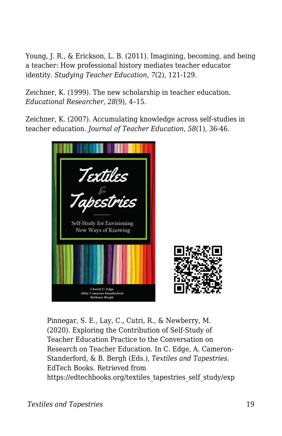Young, J. R., & Erickson, L. B. (2011). Imagining, becoming, and being a teacher: How professional history mediates teacher educator identity. *Studying Teacher Education*, *7*(2), 121-129.

Zeichner, K. (1999). The new scholarship in teacher education*. Educational Researcher, 28*(9), 4–15.

Zeichner, K. (2007). Accumulating knowledge across self-studies in teacher education. *Journal of Teacher Education, 58*(1), 36-46.



Pinnegar, S. E., Lay, C., Cutri, R., & Newberry, M. (2020). Exploring the Contribution of Self-Study of Teacher Education Practice to the Conversation on Research on Teacher Education. In C. Edge, A. Cameron-Standerford, & B. Bergh (Eds.), *Textiles and Tapestries*. EdTech Books. Retrieved from https://edtechbooks.org/textiles\_tapestries\_self\_study/exp